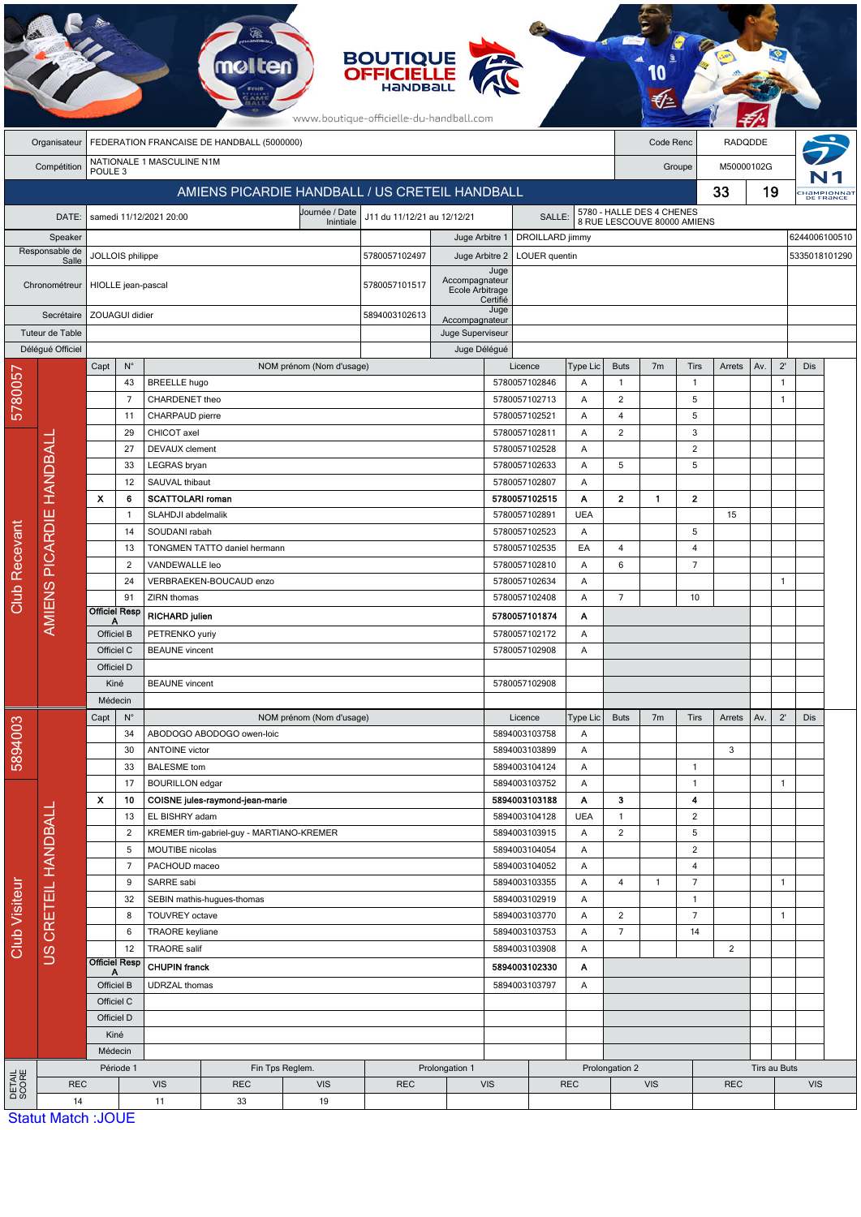|                                    | <b>BOUTIQUE<br/>OFFICIELLE</b><br><b>molten</b><br>www.boutique-officielle-du-handball.com |                                                                                       |                                  |                                       |                                          |                          |                                   |                                   |                                |               |                                                                    |                |                      |                     |                |         |              |                        |  |
|------------------------------------|--------------------------------------------------------------------------------------------|---------------------------------------------------------------------------------------|----------------------------------|---------------------------------------|------------------------------------------|--------------------------|-----------------------------------|-----------------------------------|--------------------------------|---------------|--------------------------------------------------------------------|----------------|----------------------|---------------------|----------------|---------|--------------|------------------------|--|
|                                    | FEDERATION FRANCAISE DE HANDBALL (5000000)<br>Organisateur                                 |                                                                                       |                                  |                                       |                                          |                          |                                   |                                   |                                |               |                                                                    |                | Code Renc            |                     |                | RADQDDE |              |                        |  |
|                                    | Compétition                                                                                | NATIONALE 1 MASCULINE N1M<br>POULE <sub>3</sub>                                       |                                  |                                       |                                          |                          |                                   |                                   |                                |               |                                                                    |                | M50000102G<br>Groupe |                     |                |         |              |                        |  |
|                                    |                                                                                            | AMIENS PICARDIE HANDBALL / US CRETEIL HANDBALL                                        |                                  |                                       |                                          |                          |                                   |                                   |                                |               |                                                                    |                | 33                   |                     |                | 19      |              | HAMPIONNA<br>DE FRANCE |  |
|                                    | DATE:                                                                                      | Journée / Date<br>samedi 11/12/2021 20:00<br>J11 du 11/12/21 au 12/12/21<br>Inintiale |                                  |                                       |                                          |                          |                                   |                                   |                                |               | 5780 - HALLE DES 4 CHENES<br>SALLE:<br>8 RUE LESCOUVE 80000 AMIENS |                |                      |                     |                |         |              |                        |  |
| Speaker<br>Responsable de<br>Salle |                                                                                            |                                                                                       |                                  |                                       |                                          |                          | Juge Arbitre 1<br>DROILLARD jimmy |                                   |                                |               |                                                                    |                |                      |                     |                |         |              | 6244006100510          |  |
|                                    |                                                                                            | JOLLOIS philippe                                                                      |                                  |                                       |                                          |                          | 5780057102497                     | Juge Arbitre 2                    |                                | LOUER quentin |                                                                    |                |                      |                     |                |         |              | 5335018101290          |  |
| Chronométreur                      |                                                                                            | HIOLLE jean-pascal                                                                    |                                  |                                       |                                          |                          | 5780057101517                     | Accompagnateur<br>Ecole Arbitrage | Juge<br>Certifié               |               |                                                                    |                |                      |                     |                |         |              |                        |  |
| Secrétaire                         |                                                                                            |                                                                                       | ZOUAGUI didier                   |                                       |                                          |                          | 5894003102613                     | Accompagnateur                    | Juge                           |               |                                                                    |                |                      |                     |                |         |              |                        |  |
|                                    | Tuteur de Table                                                                            |                                                                                       |                                  |                                       |                                          |                          | Juge Superviseur                  |                                   |                                |               |                                                                    |                |                      |                     |                |         |              |                        |  |
|                                    | Déléqué Officiel                                                                           | Capt                                                                                  | $N^{\circ}$                      |                                       |                                          | NOM prénom (Nom d'usage) |                                   | Juge Délégué                      | Licence                        |               | Type Lic                                                           | <b>Buts</b>    | 7 <sub>m</sub>       | Tirs                | Arrets         | Av.     | $2^{\prime}$ | Dis                    |  |
|                                    |                                                                                            |                                                                                       | 43                               | <b>BREELLE</b> hugo                   |                                          |                          |                                   |                                   | 5780057102846                  |               | Α                                                                  | $\mathbf{1}$   |                      | $\overline{1}$      |                |         | $\mathbf{1}$ |                        |  |
| 5780057                            |                                                                                            |                                                                                       | 7                                | CHARDENET theo                        |                                          |                          |                                   |                                   | 5780057102713                  |               | A                                                                  | 2              |                      | 5                   |                |         | $\mathbf{1}$ |                        |  |
|                                    |                                                                                            |                                                                                       | 11                               | CHARPAUD pierre                       |                                          |                          |                                   |                                   | 5780057102521                  |               | A                                                                  | $\overline{4}$ |                      | 5                   |                |         |              |                        |  |
|                                    |                                                                                            |                                                                                       | 29                               | CHICOT axel                           |                                          |                          |                                   |                                   | 5780057102811                  |               | $\overline{A}$                                                     | $\overline{2}$ |                      | 3                   |                |         |              |                        |  |
|                                    | HANDBALL                                                                                   |                                                                                       | 27<br>33                         | <b>DEVAUX</b> clement<br>LEGRAS bryan |                                          |                          |                                   |                                   | 5780057102528<br>5780057102633 |               | A<br>A                                                             | 5              |                      | $\overline{2}$<br>5 |                |         |              |                        |  |
|                                    |                                                                                            |                                                                                       | 12                               | SAUVAL thibaut                        |                                          |                          |                                   |                                   | 5780057102807                  |               | A                                                                  |                |                      |                     |                |         |              |                        |  |
|                                    |                                                                                            | X                                                                                     | 6                                | <b>SCATTOLARI</b> roman               |                                          |                          |                                   |                                   | 5780057102515                  |               | A                                                                  | $\mathbf{2}$   | $\mathbf{1}$         | $\overline{2}$      |                |         |              |                        |  |
|                                    |                                                                                            |                                                                                       | 1                                | SLAHDJI abdelmalik                    |                                          |                          |                                   |                                   | 5780057102891                  |               | <b>UEA</b>                                                         |                |                      |                     | 15             |         |              |                        |  |
|                                    |                                                                                            |                                                                                       | 14                               | SOUDANI rabah                         |                                          |                          |                                   |                                   | 5780057102523                  |               | A                                                                  |                |                      | 5                   |                |         |              |                        |  |
|                                    | AMIENS PICARDIE                                                                            | 13                                                                                    |                                  | TONGMEN TATTO daniel hermann          |                                          |                          |                                   |                                   | 5780057102535                  |               | EA                                                                 | 4              |                      | $\overline{4}$      |                |         |              |                        |  |
| Recevant                           |                                                                                            |                                                                                       | 2                                | VANDEWALLE leo                        |                                          |                          |                                   |                                   | 5780057102810                  |               | A                                                                  | 6              |                      | $\overline{7}$      |                |         |              |                        |  |
| Club                               |                                                                                            |                                                                                       | 24<br>91                         | ZIRN thomas                           | VERBRAEKEN-BOUCAUD enzo                  |                          |                                   |                                   | 5780057102634<br>5780057102408 |               | A<br>Α                                                             | $\overline{7}$ |                      | 10                  |                |         | $\mathbf{1}$ |                        |  |
|                                    |                                                                                            |                                                                                       | <b>Officiel Resp</b>             | <b>RICHARD julien</b>                 |                                          |                          |                                   | 5780057101874                     |                                | Α             |                                                                    |                |                      |                     |                |         |              |                        |  |
|                                    |                                                                                            | Officiel B                                                                            |                                  | PETRENKO yuriy                        |                                          |                          |                                   | 5780057102172                     |                                | A             |                                                                    |                |                      |                     |                |         |              |                        |  |
|                                    |                                                                                            | Officiel C                                                                            |                                  | <b>BEAUNE</b> vincent                 |                                          |                          |                                   |                                   | 5780057102908<br>A             |               |                                                                    |                |                      |                     |                |         |              |                        |  |
|                                    |                                                                                            | Officiel D                                                                            |                                  |                                       |                                          |                          |                                   |                                   |                                |               |                                                                    |                |                      |                     |                |         |              |                        |  |
|                                    |                                                                                            | Kiné                                                                                  |                                  | <b>BEAUNE</b> vincent                 |                                          |                          |                                   | 5780057102908                     |                                |               |                                                                    |                |                      |                     |                |         |              |                        |  |
|                                    |                                                                                            | Médecin                                                                               |                                  |                                       |                                          |                          |                                   |                                   |                                |               |                                                                    |                |                      |                     |                |         |              |                        |  |
|                                    |                                                                                            | Capt                                                                                  | $N^{\circ}$                      |                                       |                                          | NOM prénom (Nom d'usage) |                                   |                                   | Licence                        |               | Type Lic                                                           | <b>Buts</b>    | 7 <sub>m</sub>       | Tirs                | Arrets         | Av.     | $2^{\prime}$ | Dis                    |  |
| 5894003                            |                                                                                            | 34                                                                                    |                                  | <b>ANTOINE</b> victor                 | ABODOGO ABODOGO owen-loic                |                          |                                   |                                   | 5894003103758<br>5894003103899 |               | Α<br>Α                                                             |                |                      |                     | 3              |         |              |                        |  |
|                                    |                                                                                            | 30<br>33<br>17                                                                        |                                  | <b>BALESME</b> tom                    |                                          |                          |                                   |                                   | 5894003104124                  |               | Α                                                                  |                |                      | $\mathbf{1}$        |                |         |              |                        |  |
|                                    |                                                                                            |                                                                                       |                                  | <b>BOURILLON</b> edgar                |                                          |                          |                                   |                                   |                                | 5894003103752 |                                                                    |                |                      | $\mathbf{1}$        |                |         | $\mathbf{1}$ |                        |  |
|                                    |                                                                                            | x<br>10                                                                               |                                  |                                       | COISNE jules-raymond-jean-marie          |                          |                                   |                                   | 5894003103188                  |               | Α                                                                  | 3              |                      | 4                   |                |         |              |                        |  |
|                                    |                                                                                            | 13                                                                                    |                                  | EL BISHRY adam                        |                                          |                          |                                   |                                   | 5894003104128                  |               | <b>UEA</b>                                                         | $\mathbf{1}$   |                      | $\overline{2}$      |                |         |              |                        |  |
|                                    |                                                                                            | $\overline{2}$                                                                        |                                  |                                       | KREMER tim-gabriel-guy - MARTIANO-KREMER |                          |                                   |                                   | 5894003103915                  |               | Α                                                                  | $\overline{2}$ |                      | 5                   |                |         |              |                        |  |
|                                    | CRETEIL HANDBALL                                                                           | 5<br>7                                                                                |                                  | MOUTIBE nicolas<br>PACHOUD maceo      |                                          |                          |                                   |                                   | 5894003104054<br>5894003104052 |               | Α<br>Α                                                             |                |                      | $\overline{2}$<br>4 |                |         |              |                        |  |
|                                    |                                                                                            |                                                                                       | 9                                | SARRE sabi                            |                                          |                          |                                   | 5894003103355                     |                                | A             | 4                                                                  | 1              | $\overline{7}$       |                     |                | 1       |              |                        |  |
|                                    |                                                                                            |                                                                                       | 32<br>SEBIN mathis-hugues-thomas |                                       |                                          |                          | 5894003102919                     |                                   | Α                              |               |                                                                    | $\mathbf{1}$   |                      |                     |                |         |              |                        |  |
|                                    |                                                                                            |                                                                                       | 8                                | TOUVREY octave                        |                                          |                          |                                   |                                   | 5894003103770                  |               | Α                                                                  | $\overline{c}$ |                      | $\overline{7}$      |                |         | $\mathbf{1}$ |                        |  |
| Club Visiteur                      | SU                                                                                         |                                                                                       | 6                                | TRAORE keyliane                       |                                          |                          |                                   |                                   | 5894003103753                  |               | Α                                                                  | $\overline{7}$ |                      | 14                  |                |         |              |                        |  |
|                                    |                                                                                            |                                                                                       | 12                               | <b>TRAORE</b> salif                   |                                          |                          |                                   |                                   | 5894003103908                  |               | Α                                                                  |                |                      |                     | $\overline{2}$ |         |              |                        |  |
|                                    |                                                                                            | <b>Officiel Resp</b><br>Officiel B                                                    |                                  | <b>CHUPIN</b> franck                  |                                          |                          |                                   | 5894003102330<br>Α                |                                |               |                                                                    |                |                      |                     |                |         |              |                        |  |
|                                    |                                                                                            |                                                                                       | Officiel C                       | <b>UDRZAL</b> thomas                  |                                          |                          |                                   | 5894003103797                     |                                | Α             |                                                                    |                |                      |                     |                |         |              |                        |  |
|                                    |                                                                                            |                                                                                       | Officiel D                       |                                       |                                          |                          |                                   |                                   |                                |               |                                                                    |                |                      |                     |                |         |              |                        |  |
|                                    |                                                                                            |                                                                                       | Kiné                             |                                       |                                          |                          |                                   |                                   |                                |               |                                                                    |                |                      |                     |                |         |              |                        |  |
|                                    |                                                                                            |                                                                                       | Médecin                          |                                       |                                          |                          |                                   |                                   |                                |               |                                                                    |                |                      |                     |                |         |              |                        |  |
| DETAIL<br>SCORE                    |                                                                                            | Période 1                                                                             |                                  |                                       | Fin Tps Reglem.                          |                          |                                   | Prolongation 1                    |                                |               |                                                                    | Prolongation 2 |                      |                     | Tirs au Buts   |         |              |                        |  |
|                                    | <b>REC</b><br>14                                                                           |                                                                                       |                                  | <b>VIS</b>                            | <b>REC</b>                               | <b>VIS</b>               | <b>REC</b>                        |                                   | <b>VIS</b>                     |               | <b>REC</b>                                                         |                | <b>VIS</b>           |                     | <b>REC</b>     |         |              | <b>VIS</b>             |  |
|                                    | <b>Statut Match · IOLIE</b>                                                                |                                                                                       |                                  | 11                                    | 33                                       | 19                       |                                   |                                   |                                |               |                                                                    |                |                      |                     |                |         |              |                        |  |

**PARTIES** 

**Statut Match: JOUE**